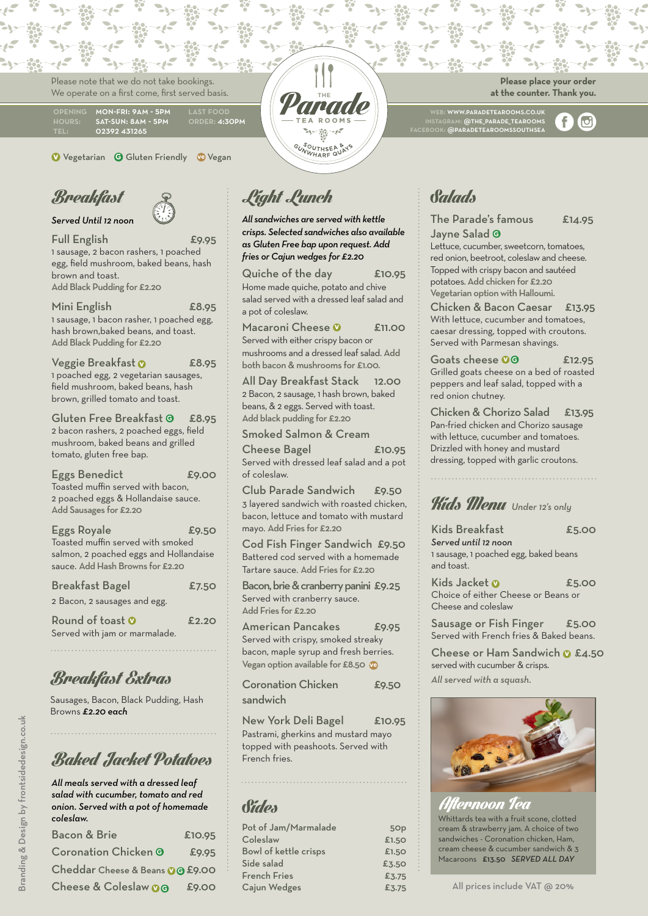Please note that we do not take bookings. We operate on a first come, first served basis.

| <b>OPENING</b> | <b>MON-FRI: 9AM - 5PM</b> | <b>LAST FOOD</b> |
|----------------|---------------------------|------------------|
| <b>HOURS:</b>  | SAT-SUN: 8AM - 5PM        | ORDER: 4:30PM    |
| TEL:           | 02392 431265              |                  |

**v** Vegetarian **G** Gluten Friendly **ve** Vegan



*Served Until 12 noon*

Full English £9.95

1 sausage, 2 bacon rashers, 1 poached egg, field mushroom, baked beans, hash brown and toast. Add Black Pudding for £2.20

Mini English £8.95 1 sausage, 1 bacon rasher, 1 poached egg, hash brown,baked beans, and toast. Add Black Pudding for £2.20

Veggie Breakfast **v** £8.95 1 poached egg, 2 vegetarian sausages, field mushroom, baked beans, hash brown, grilled tomato and toast.

Gluten Free Breakfast **<sup>G</sup>** £8.95 2 bacon rashers, 2 poached eggs, field mushroom, baked beans and grilled tomato, gluten free bap.

Eggs Benedict E9.00 Toasted muffin served with bacon, 2 poached eggs & Hollandaise sauce. Add Sausages for £2.20

| <b>Eggs Royale</b>                     | £9.50 |
|----------------------------------------|-------|
| Toasted muffin served with smoked      |       |
| salmon, 2 poached eggs and Hollandaise |       |
| sauce. Add Hash Browns for £2.20       |       |

| <b>Breakfast Bagel</b>                                   | £7.50 |
|----------------------------------------------------------|-------|
| 2 Bacon, 2 sausages and egg.                             |       |
| Round of toast $\Omega$<br>Served with jam or marmalade. | £2.2O |

### Breakfast Extras

Sausages, Bacon, Black Pudding, Hash Browns *£2.20 each*

#### **Baked Jacket Potatoes French fries.**

*All meals served with a dressed leaf salad with cucumber, tomato and red onion. Served with a pot of homemade coleslaw.* Bacon & Brie £10.95

| <b>PACOLICA PILE</b>             | 0.10.7J |
|----------------------------------|---------|
| <b>Coronation Chicken @</b>      | £9.95   |
| Cheddar Cheese & Beans 0 @ £9.00 |         |
| Cheese & Coleslaw 00 £9.00       |         |
|                                  |         |

Light Lunch

*All sandwiches are served with kettle crisps. Selected sandwiches also available as Gluten Free bap upon request. Add fries or Cajun wedges for £2.20*

يى.

GUNWHARF QUAT

Quiche of the day £10.95 Home made quiche, potato and chive salad served with a dressed leaf salad and a pot of coleslaw.

Macaroni Cheese <sup>0</sup> £11.00 Served with either crispy bacon or mushrooms and a dressed leaf salad. Add both bacon & mushrooms for £1.00.

All Day Breakfast Stack 12.00 2 Bacon, 2 sausage, 1 hash brown, baked beans, & 2 eggs. Served with toast. Add black pudding for £2.20

Smoked Salmon & Cream Cheese Bagel 610.95 Served with dressed leaf salad and a pot

of coleslaw. Club Parade Sandwich £9.50

3 layered sandwich with roasted chicken, bacon, lettuce and tomato with mustard mayo. Add Fries for £2.20

Cod Fish Finger Sandwich £9.50 Battered cod served with a homemade Tartare sauce. Add Fries for £2.20

Bacon, brie & cranberry panini £9.25 Served with cranberry sauce. Add Fries for £2.20

American Pancakes £9.95 Served with crispy, smoked streaky bacon, maple syrup and fresh berries. Vegan option available for £8.50 **ve**

Coronation Chicken £9.50 sandwich

New York Deli Bagel £10.95 Pastrami, gherkins and mustard mayo topped with peashoots. Served with

#### Sides

| Pot of Jam/Marmalade  | 5Op   |
|-----------------------|-------|
| Coleslaw              | £1.50 |
| Bowl of kettle crisps | £1.50 |
| Side salad            | £3.50 |
| French Fries          | £3.75 |
| Cajun Wedges          | £3.75 |

**Please place your order at the counter. Thank you.**

f

 $\sigma$ 

web: www.paradetearooms.co.uk instagram: @the\_parade\_tearooms facebook: @paradetearoomssouthsea

Salads

#### The Parade's famous £14.95 Jayne Salad **G**

Lettuce, cucumber, sweetcorn, tomatoes, red onion, beetroot, coleslaw and cheese. Topped with crispy bacon and sautéed potatoes. Add chicken for £2.20 Vegetarian option with Halloumi.

Chicken & Bacon Caesar £13.95 With lettuce, cucumber and tomatoes, caesar dressing, topped with croutons. Served with Parmesan shavings.

Goats cheese **00** £12.95 Grilled goats cheese on a bed of roasted peppers and leaf salad, topped with a red onion chutney.

Chicken & Chorizo Salad £13.95 Pan-fried chicken and Chorizo sausage with lettuce, cucumber and tomatoes. Drizzled with honey and mustard dressing, topped with garlic croutons.

# Kids Menu *Under 12's only*

Kids Breakfast **E5.00** 

*Served until 12 noon* 1 sausage, 1 poached egg, baked beans and toast.

Kids Jacket **v £5.00** Choice of either Cheese or Beans or Cheese and coleslaw

Sausage or Fish Finger £5.00 Served with French fries & Baked beans.

Cheese or Ham Sandwich **v** £4.50 served with cucumber & crisps. *All served with a squash.*



sandwiches - Coronation chicken, Ham, Whittards tea with a fruit scone, clotted cream & strawberry jam. A choice of two cream cheese & cucumber sandwich & 3 Macaroons £13.50 *SERVED ALL DAY* ternoon Tea